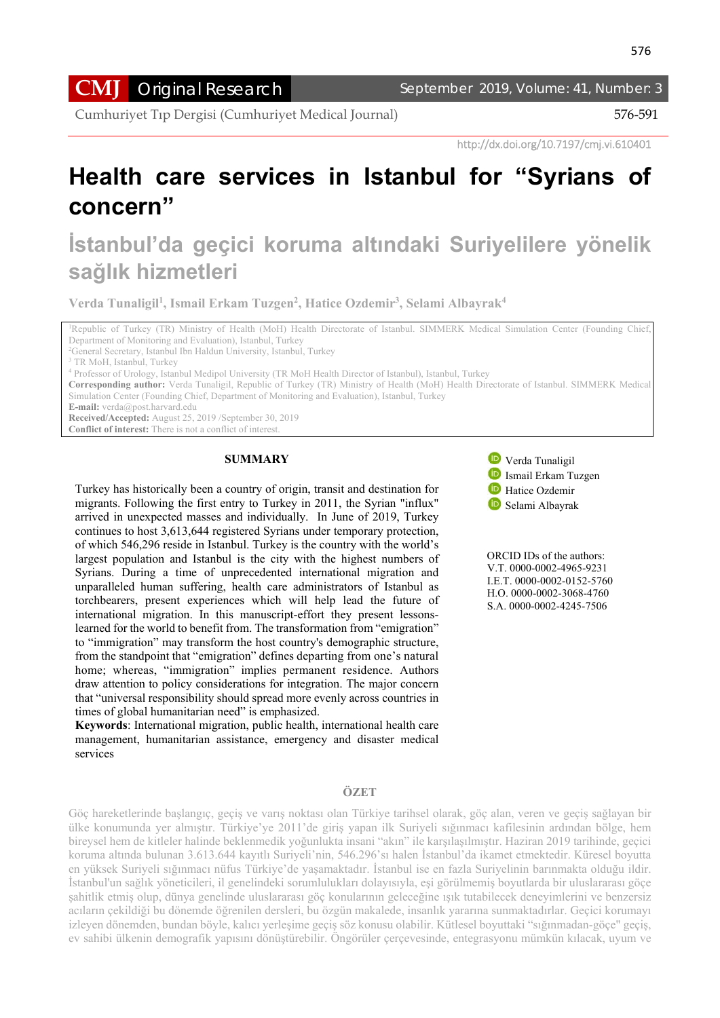**CMJ** Original Research September 2019, Volume: 41, Number: 3

Cumhuriyet Tıp Dergisi (Cumhuriyet Medical Journal) 576-591

http://dx.doi.org/10.7197/cmj.vi.610401

# **Health care services in Istanbul for "Syrians of concern"**

# **İstanbul'da geçici koruma altındaki Suriyelilere yönelik sağlık hizmetleri**

**Verda Tunaligil1 , Ismail Erkam Tuzgen2 , Hatice Ozdemir3 , Selami Albayrak4**

<sup>1</sup>Republic of Turkey (TR) Ministry of Health (MoH) Health Directorate of Istanbul. SIMMERK Medical Simulation Center (Founding Chief, Department of Monitoring and Evaluation), Istanbul, Turkey

<sup>2</sup>General Secretary, Istanbul Ibn Haldun University, Istanbul, Turkey

**Corresponding author:** Verda Tunaligil, Republic of Turkey (TR) Ministry of Health (MoH) Health Directorate of Istanbul. SIMMERK Medical Simulation Center (Founding Chief, Department of Monitoring and Evaluation), Istanbul, Turkey

**E-mail:** verda@post.harvard.edu

**Received/Accepted:** August 25, 2019 /September 30, 2019

**Conflict of interest:** There is not a conflict of interest.

#### **SUMMARY**

Turkey has historically been a country of origin, transit and destination for migrants. Following the first entry to Turkey in 2011, the Syrian "influx" arrived in unexpected masses and individually. In June of 2019, Turkey continues to host 3,613,644 registered Syrians under temporary protection, of which 546,296 reside in Istanbul. Turkey is the country with the world's largest population and Istanbul is the city with the highest numbers of Syrians. During a time of unprecedented international migration and unparalleled human suffering, health care administrators of Istanbul as torchbearers, present experiences which will help lead the future of international migration. In this manuscript-effort they present lessonslearned for the world to benefit from. The transformation from "emigration" to "immigration" may transform the host country's demographic structure, from the standpoint that "emigration" defines departing from one's natural home; whereas, "immigration" implies permanent residence. Authors draw attention to policy considerations for integration. The major concern that "universal responsibility should spread more evenly across countries in times of global humanitarian need" is emphasized.

**Keywords**: International migration, public health, international health care management, humanitarian assistance, emergency and disaster medical services



 ORCID IDs of the authors: V.T. 0000-0002-4965-9231 I.E.T. 0000-0002-0152-5760 H.O. 0000-0002-3068-4760 S.A. 0000-0002-4245-7506

#### **ÖZET**

Göç hareketlerinde başlangıç, geçiş ve varış noktası olan Türkiye tarihsel olarak, göç alan, veren ve geçiş sağlayan bir ülke konumunda yer almıştır. Türkiye'ye 2011'de giriş yapan ilk Suriyeli sığınmacı kafilesinin ardından bölge, hem bireysel hem de kitleler halinde beklenmedik yoğunlukta insani "akın" ile karşılaşılmıştır. Haziran 2019 tarihinde, geçici koruma altında bulunan 3.613.644 kayıtlı Suriyeli'nin, 546.296'sı halen İstanbul'da ikamet etmektedir. Küresel boyutta en yüksek Suriyeli sığınmacı nüfus Türkiye'de yaşamaktadır. İstanbul ise en fazla Suriyelinin barınmakta olduğu ildir. İstanbul'un sağlık yöneticileri, il genelindeki sorumlulukları dolayısıyla, eşi görülmemiş boyutlarda bir uluslararası göçe şahitlik etmiş olup, dünya genelinde uluslararası göç konularının geleceğine ışık tutabilecek deneyimlerini ve benzersiz acıların çekildiği bu dönemde öğrenilen dersleri, bu özgün makalede, insanlık yararına sunmaktadırlar. Geçici korumayı izleyen dönemden, bundan böyle, kalıcı yerleşime geçiş söz konusu olabilir. Kütlesel boyuttaki "sığınmadan-göçe" geçiş, ev sahibi ülkenin demografik yapısını dönüştürebilir. Öngörüler çerçevesinde, entegrasyonu mümkün kılacak, uyum ve

<sup>&</sup>lt;sup>3</sup> TR MoH, Istanbul, Turkey

<sup>4</sup> Professor of Urology, Istanbul Medipol University (TR MoH Health Director of Istanbul), Istanbul, Turkey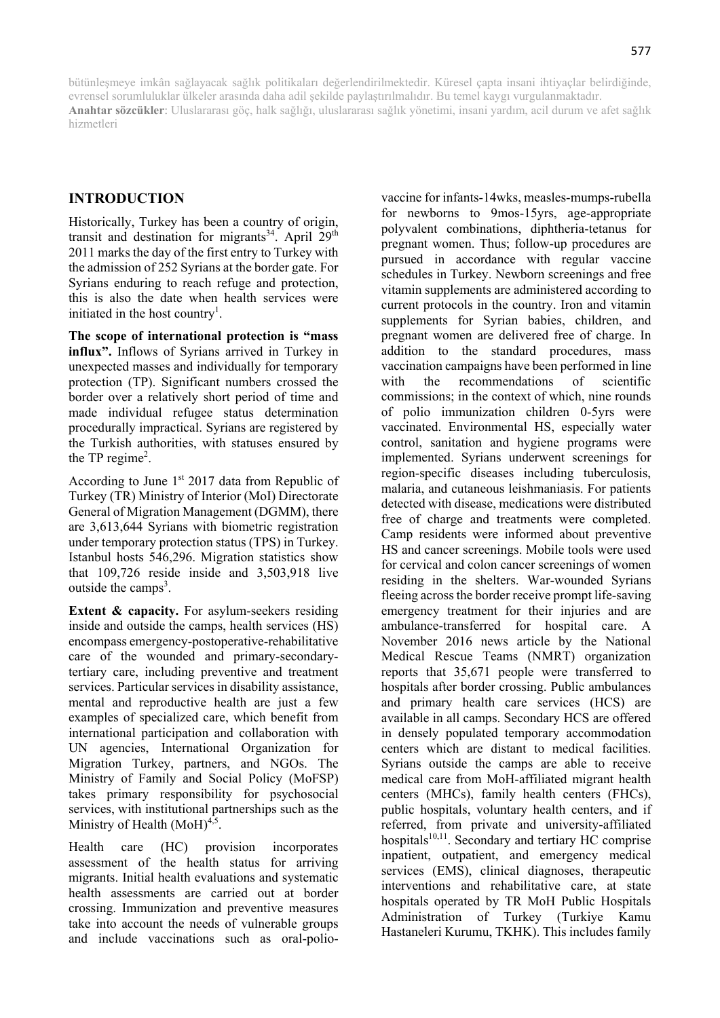bütünleşmeye imkân sağlayacak sağlık politikaları değerlendirilmektedir. Küresel çapta insani ihtiyaçlar belirdiğinde, evrensel sorumluluklar ülkeler arasında daha adil şekilde paylaştırılmalıdır. Bu temel kaygı vurgulanmaktadır. **Anahtar sözcükler**: Uluslararası göç, halk sağlığı, uluslararası sağlık yönetimi, insani yardım, acil durum ve afet sağlık hizmetleri

# **INTRODUCTION**

Historically, Turkey has been a country of origin, transit and destination for migrants<sup>34</sup>. April  $29<sup>th</sup>$ 2011 marks the day of the first entry to Turkey with the admission of 252 Syrians at the border gate. For Syrians enduring to reach refuge and protection, this is also the date when health services were initiated in the host country<sup>1</sup>.

**The scope of international protection is "mass influx".** Inflows of Syrians arrived in Turkey in unexpected masses and individually for temporary protection (TP). Significant numbers crossed the border over a relatively short period of time and made individual refugee status determination procedurally impractical. Syrians are registered by the Turkish authorities, with statuses ensured by the TP regime<sup>2</sup>.

According to June  $1<sup>st</sup> 2017$  data from Republic of Turkey (TR) Ministry of Interior (MoI) Directorate General of Migration Management (DGMM), there are 3,613,644 Syrians with biometric registration under temporary protection status (TPS) in Turkey. Istanbul hosts 546,296. Migration statistics show that 109,726 reside inside and 3,503,918 live outside the camps<sup>3</sup>.

**Extent & capacity.** For asylum-seekers residing inside and outside the camps, health services (HS) encompass emergency-postoperative-rehabilitative care of the wounded and primary-secondarytertiary care, including preventive and treatment services. Particular services in disability assistance, mental and reproductive health are just a few examples of specialized care, which benefit from international participation and collaboration with UN agencies, International Organization for Migration Turkey, partners, and NGOs. The Ministry of Family and Social Policy (MoFSP) takes primary responsibility for psychosocial services, with institutional partnerships such as the Ministry of Health  $(MoH)<sup>4,5</sup>$ .

Health care (HC) provision incorporates assessment of the health status for arriving migrants. Initial health evaluations and systematic health assessments are carried out at border crossing. Immunization and preventive measures take into account the needs of vulnerable groups and include vaccinations such as oral-polio-

vaccine for infants-14wks, measles-mumps-rubella for newborns to 9mos-15yrs, age-appropriate polyvalent combinations, diphtheria-tetanus for pregnant women. Thus; follow-up procedures are pursued in accordance with regular vaccine schedules in Turkey. Newborn screenings and free vitamin supplements are administered according to current protocols in the country. Iron and vitamin supplements for Syrian babies, children, and pregnant women are delivered free of charge. In addition to the standard procedures, mass vaccination campaigns have been performed in line with the recommendations of scientific commissions; in the context of which, nine rounds of polio immunization children 0-5yrs were vaccinated. Environmental HS, especially water control, sanitation and hygiene programs were implemented. Syrians underwent screenings for region-specific diseases including tuberculosis, malaria, and cutaneous leishmaniasis. For patients detected with disease, medications were distributed free of charge and treatments were completed. Camp residents were informed about preventive HS and cancer screenings. Mobile tools were used for cervical and colon cancer screenings of women residing in the shelters. War-wounded Syrians fleeing across the border receive prompt life-saving emergency treatment for their injuries and are ambulance-transferred for hospital care. A November 2016 news article by the National Medical Rescue Teams (NMRT) organization reports that 35,671 people were transferred to hospitals after border crossing. Public ambulances and primary health care services (HCS) are available in all camps. Secondary HCS are offered in densely populated temporary accommodation centers which are distant to medical facilities. Syrians outside the camps are able to receive medical care from MoH-affiliated migrant health centers (MHCs), family health centers (FHCs), public hospitals, voluntary health centers, and if referred, from private and university-affiliated hospitals $10,11$ . Secondary and tertiary HC comprise inpatient, outpatient, and emergency medical services (EMS), clinical diagnoses, therapeutic interventions and rehabilitative care, at state hospitals operated by TR MoH Public Hospitals Administration of Turkey (Turkiye Kamu Hastaneleri Kurumu, TKHK). This includes family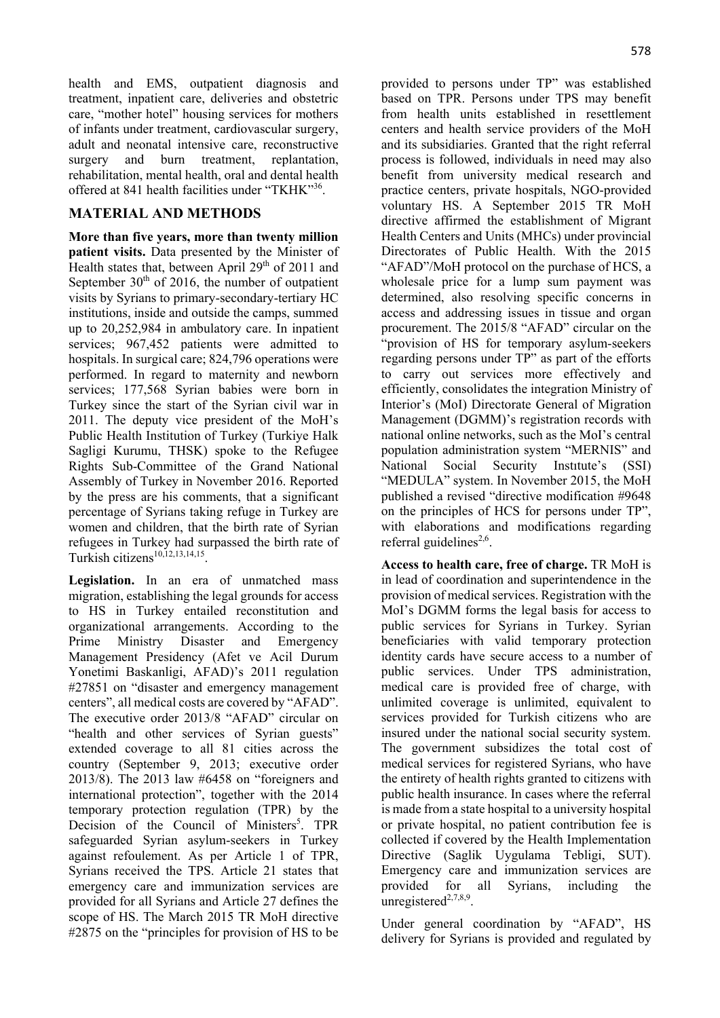health and EMS, outpatient diagnosis and treatment, inpatient care, deliveries and obstetric care, "mother hotel" housing services for mothers of infants under treatment, cardiovascular surgery, adult and neonatal intensive care, reconstructive surgery and burn treatment, replantation, rehabilitation, mental health, oral and dental health offered at 841 health facilities under "TKHK"36.

# **MATERIAL AND METHODS**

**More than five years, more than twenty million patient visits.** Data presented by the Minister of Health states that, between April  $29<sup>th</sup>$  of 2011 and September  $30<sup>th</sup>$  of 2016, the number of outpatient visits by Syrians to primary-secondary-tertiary HC institutions, inside and outside the camps, summed up to 20,252,984 in ambulatory care. In inpatient services; 967,452 patients were admitted to hospitals. In surgical care; 824,796 operations were performed. In regard to maternity and newborn services; 177,568 Syrian babies were born in Turkey since the start of the Syrian civil war in 2011. The deputy vice president of the MoH's Public Health Institution of Turkey (Turkiye Halk Sagligi Kurumu, THSK) spoke to the Refugee Rights Sub-Committee of the Grand National Assembly of Turkey in November 2016. Reported by the press are his comments, that a significant percentage of Syrians taking refuge in Turkey are women and children, that the birth rate of Syrian refugees in Turkey had surpassed the birth rate of Turkish citizens $^{10,12,13,14,15}$ .

**Legislation.** In an era of unmatched mass migration, establishing the legal grounds for access to HS in Turkey entailed reconstitution and organizational arrangements. According to the Prime Ministry Disaster and Emergency Management Presidency (Afet ve Acil Durum Yonetimi Baskanligi, AFAD)'s 2011 regulation #27851 on "disaster and emergency management centers", all medical costs are covered by "AFAD". The executive order 2013/8 "AFAD" circular on "health and other services of Syrian guests" extended coverage to all 81 cities across the country (September 9, 2013; executive order 2013/8). The 2013 law #6458 on "foreigners and international protection", together with the 2014 temporary protection regulation (TPR) by the Decision of the Council of Ministers<sup>5</sup>. TPR safeguarded Syrian asylum-seekers in Turkey against refoulement. As per Article 1 of TPR, Syrians received the TPS. Article 21 states that emergency care and immunization services are provided for all Syrians and Article 27 defines the scope of HS. The March 2015 TR MoH directive #2875 on the "principles for provision of HS to be

provided to persons under TP" was established based on TPR. Persons under TPS may benefit from health units established in resettlement centers and health service providers of the MoH and its subsidiaries. Granted that the right referral process is followed, individuals in need may also benefit from university medical research and practice centers, private hospitals, NGO-provided voluntary HS. A September 2015 TR MoH directive affirmed the establishment of Migrant Health Centers and Units (MHCs) under provincial Directorates of Public Health. With the 2015 "AFAD"/MoH protocol on the purchase of HCS, a wholesale price for a lump sum payment was determined, also resolving specific concerns in access and addressing issues in tissue and organ procurement. The 2015/8 "AFAD" circular on the "provision of HS for temporary asylum-seekers regarding persons under TP" as part of the efforts to carry out services more effectively and efficiently, consolidates the integration Ministry of Interior's (MoI) Directorate General of Migration Management (DGMM)'s registration records with national online networks, such as the MoI's central population administration system "MERNIS" and National Social Security Instıtute's (SSI) "MEDULA" system. In November 2015, the MoH published a revised "directive modification #9648 on the principles of HCS for persons under TP", with elaborations and modifications regarding referral guidelines<sup>2,6</sup>.

**Access to health care, free of charge.** TR MoH is in lead of coordination and superintendence in the provision of medical services. Registration with the MoI's DGMM forms the legal basis for access to public services for Syrians in Turkey. Syrian beneficiaries with valid temporary protection identity cards have secure access to a number of public services. Under TPS administration, medical care is provided free of charge, with unlimited coverage is unlimited, equivalent to services provided for Turkish citizens who are insured under the national social security system. The government subsidizes the total cost of medical services for registered Syrians, who have the entirety of health rights granted to citizens with public health insurance. In cases where the referral is made from a state hospital to a university hospital or private hospital, no patient contribution fee is collected if covered by the Health Implementation Directive (Saglik Uygulama Tebligi, SUT). Emergency care and immunization services are provided for all Syrians, including the unregistered $2,7,8,9$ .

Under general coordination by "AFAD", HS delivery for Syrians is provided and regulated by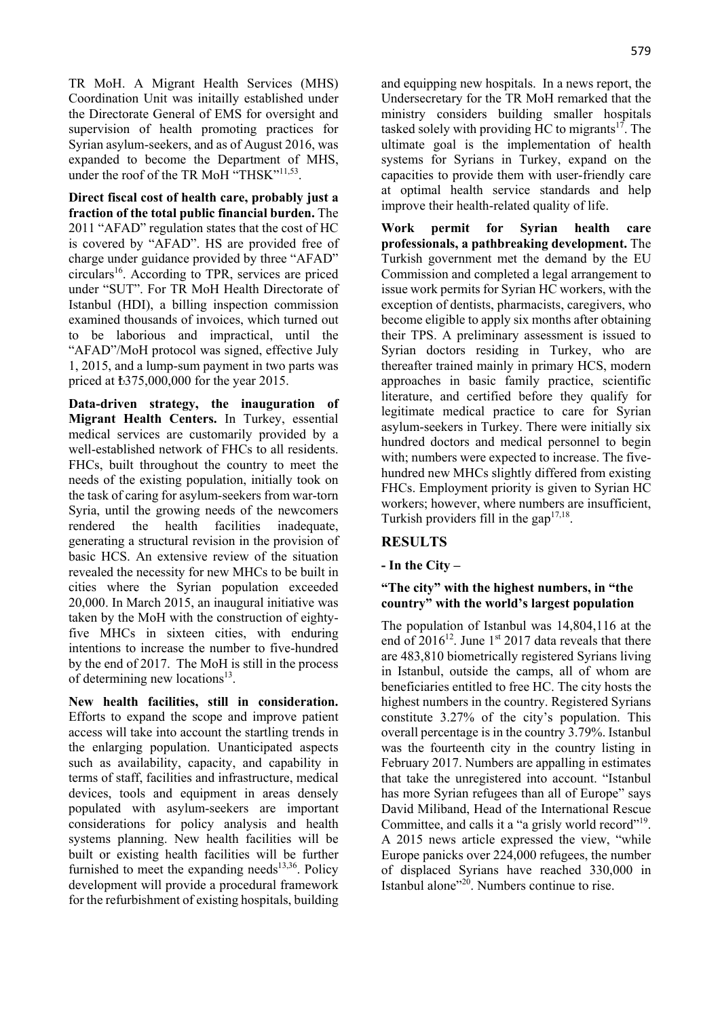TR MoH. A Migrant Health Services (MHS) Coordination Unit was initailly established under the Directorate General of EMS for oversight and supervision of health promoting practices for Syrian asylum-seekers, and as of August 2016, was expanded to become the Department of MHS, under the roof of the TR MoH "THSK"<sup>11,53</sup>.

**Direct fiscal cost of health care, probably just a fraction of the total public financial burden.** The 2011 "AFAD" regulation states that the cost of HC is covered by "AFAD". HS are provided free of charge under guidance provided by three "AFAD"  $circular<sup>16</sup>$ . According to TPR, services are priced under "SUT". For TR MoH Health Directorate of Istanbul (HDI), a billing inspection commission examined thousands of invoices, which turned out to be laborious and impractical, until the "AFAD"/MoH protocol was signed, effective July 1, 2015, and a lump-sum payment in two parts was priced at ₺375,000,000 for the year 2015.

**Data-driven strategy, the inauguration of Migrant Health Centers.** In Turkey, essential medical services are customarily provided by a well-established network of FHCs to all residents. FHCs, built throughout the country to meet the needs of the existing population, initially took on the task of caring for asylum-seekers from war-torn Syria, until the growing needs of the newcomers rendered the health facilities inadequate, generating a structural revision in the provision of basic HCS. An extensive review of the situation revealed the necessity for new MHCs to be built in cities where the Syrian population exceeded 20,000. In March 2015, an inaugural initiative was taken by the MoH with the construction of eightyfive MHCs in sixteen cities, with enduring intentions to increase the number to five-hundred by the end of 2017. The MoH is still in the process of determining new locations<sup>13</sup>.

**New health facilities, still in consideration.** Efforts to expand the scope and improve patient access will take into account the startling trends in the enlarging population. Unanticipated aspects such as availability, capacity, and capability in terms of staff, facilities and infrastructure, medical devices, tools and equipment in areas densely populated with asylum-seekers are important considerations for policy analysis and health systems planning. New health facilities will be built or existing health facilities will be further furnished to meet the expanding needs $13,36$ . Policy development will provide a procedural framework for the refurbishment of existing hospitals, building and equipping new hospitals. In a news report, the Undersecretary for the TR MoH remarked that the ministry considers building smaller hospitals tasked solely with providing HC to migrants<sup>17</sup>. The ultimate goal is the implementation of health systems for Syrians in Turkey, expand on the capacities to provide them with user-friendly care at optimal health service standards and help improve their health-related quality of life.

**Work permit for Syrian health care professionals, a pathbreaking development.** The Turkish government met the demand by the EU Commission and completed a legal arrangement to issue work permits for Syrian HC workers, with the exception of dentists, pharmacists, caregivers, who become eligible to apply six months after obtaining their TPS. A preliminary assessment is issued to Syrian doctors residing in Turkey, who are thereafter trained mainly in primary HCS, modern approaches in basic family practice, scientific literature, and certified before they qualify for legitimate medical practice to care for Syrian asylum-seekers in Turkey. There were initially six hundred doctors and medical personnel to begin with; numbers were expected to increase. The fivehundred new MHCs slightly differed from existing FHCs. Employment priority is given to Syrian HC workers; however, where numbers are insufficient, Turkish providers fill in the gap<sup>17,18</sup>.

# **RESULTS**

**- In the City –** 

# **"The city" with the highest numbers, in "the country" with the world's largest population**

The population of Istanbul was 14,804,116 at the end of  $2016^{12}$ . June 1<sup>st</sup> 2017 data reveals that there are 483,810 biometrically registered Syrians living in Istanbul, outside the camps, all of whom are beneficiaries entitled to free HC. The city hosts the highest numbers in the country. Registered Syrians constitute 3.27% of the city's population. This overall percentage is in the country 3.79%. Istanbul was the fourteenth city in the country listing in February 2017. Numbers are appalling in estimates that take the unregistered into account. "Istanbul has more Syrian refugees than all of Europe" says David Miliband, Head of the International Rescue Committee, and calls it a "a grisly world record"<sup>19</sup>. A 2015 news article expressed the view, "while Europe panicks over 224,000 refugees, the number of displaced Syrians have reached 330,000 in Istanbul alone"<sup>20</sup>. Numbers continue to rise.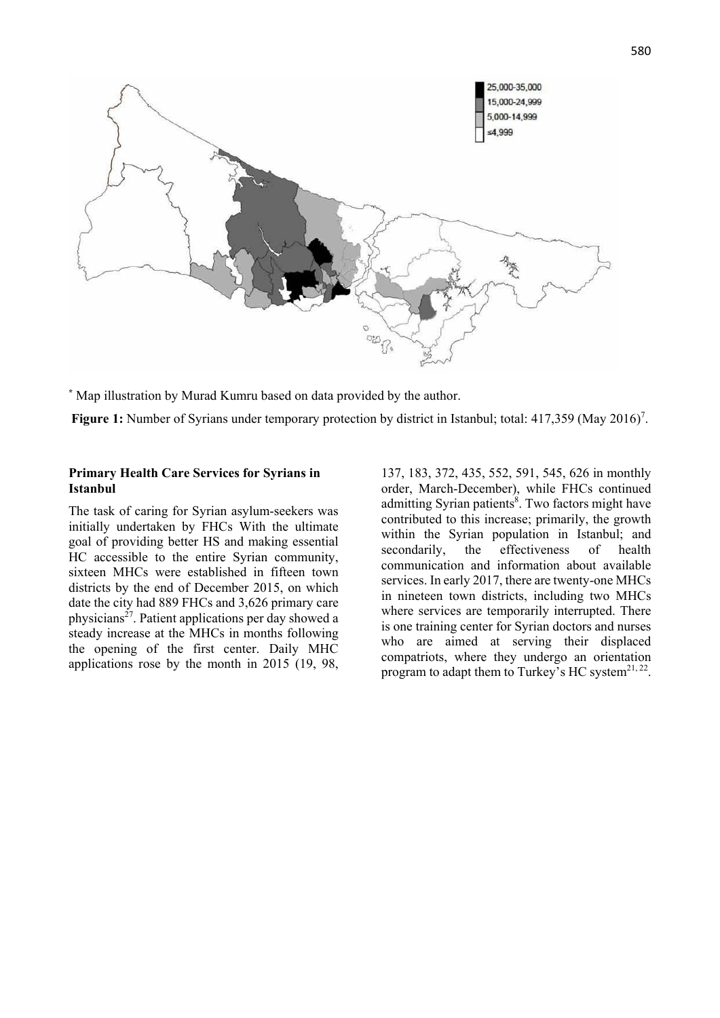

**\*** Map illustration by Murad Kumru based on data provided by the author.

Figure 1: Number of Syrians under temporary protection by district in Istanbul; total: 417,359 (May 2016)<sup>7</sup>.

#### **Primary Health Care Services for Syrians in Istanbul**

The task of caring for Syrian asylum-seekers was initially undertaken by FHCs With the ultimate goal of providing better HS and making essential HC accessible to the entire Syrian community, sixteen MHCs were established in fifteen town districts by the end of December 2015, on which date the city had 889 FHCs and 3,626 primary care physicians27. Patient applications per day showed a steady increase at the MHCs in months following the opening of the first center. Daily MHC applications rose by the month in 2015 (19, 98, 137, 183, 372, 435, 552, 591, 545, 626 in monthly order, March-December), while FHCs continued admitting Syrian patients<sup>8</sup>. Two factors might have contributed to this increase; primarily, the growth within the Syrian population in Istanbul; and secondarily, the effectiveness of health communication and information about available services. In early 2017, there are twenty-one MHCs in nineteen town districts, including two MHCs where services are temporarily interrupted. There is one training center for Syrian doctors and nurses who are aimed at serving their displaced compatriots, where they undergo an orientation program to adapt them to Turkey's HC system<sup>21, 22</sup>.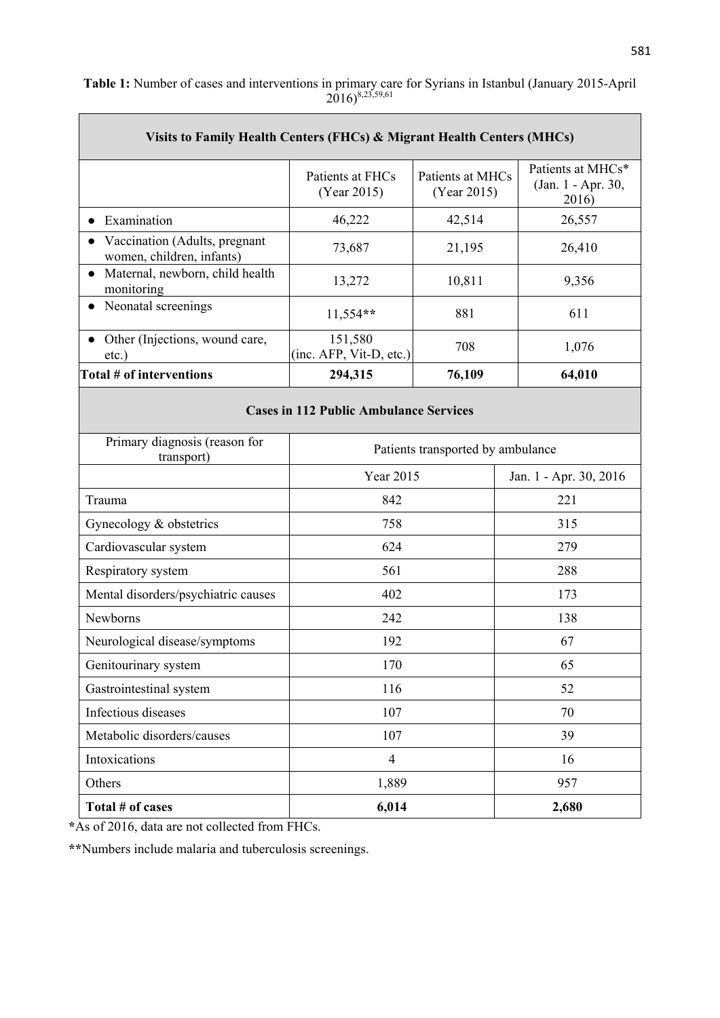| Visits to Family Health Centers (FHCs) & Migrant Health Centers (MHCs) |                                    |                                 |                                                  |  |  |  |  |
|------------------------------------------------------------------------|------------------------------------|---------------------------------|--------------------------------------------------|--|--|--|--|
|                                                                        | Patients at FHCs<br>(Year 2015)    | Patients at MHCs<br>(Year 2015) | Patients at MHCs*<br>(Jan. 1 - Apr. 30,<br>2016) |  |  |  |  |
| Examination                                                            | 46,222                             | 42,514                          | 26,557                                           |  |  |  |  |
| Vaccination (Adults, pregnant<br>women, children, infants)             | 73,687                             | 21,195                          | 26,410                                           |  |  |  |  |
| Maternal, newborn, child health<br>$\bullet$<br>monitoring             | 13,272                             | 10,811                          | 9,356                                            |  |  |  |  |
| Neonatal screenings                                                    | $11,554**$                         | 881                             | 611                                              |  |  |  |  |
| Other (Injections, wound care,<br>etc.)                                | 151,580<br>(inc. AFP, Vit-D, etc.) | 708                             | 1,076                                            |  |  |  |  |
| Total # of interventions                                               | 294,315                            | 76,109                          | 64,010                                           |  |  |  |  |
| <b>Cases in 112 Public Ambulance Services</b>                          |                                    |                                 |                                                  |  |  |  |  |
| Primary diagnosis (reason for<br>transport)                            | Patients transported by ambulance  |                                 |                                                  |  |  |  |  |
|                                                                        | Year 2015                          |                                 | Jan. 1 - Apr. 30, 2016                           |  |  |  |  |
| Trauma                                                                 | 842                                |                                 | 221                                              |  |  |  |  |
| Gynecology & obstetrics                                                | 758                                |                                 | 315                                              |  |  |  |  |
| Cardiovascular system                                                  | 624                                |                                 | 279                                              |  |  |  |  |
| Respiratory system                                                     | 561                                |                                 | 288                                              |  |  |  |  |
| Mental disorders/psychiatric causes                                    | 402                                |                                 | 173                                              |  |  |  |  |
| Newborns                                                               | 242                                |                                 | 138                                              |  |  |  |  |
| Neurological disease/symptoms                                          | 192                                |                                 | 67                                               |  |  |  |  |
| Genitourinary system                                                   | 170                                |                                 | 65                                               |  |  |  |  |
| Gastrointestinal system                                                | 116                                |                                 | 52                                               |  |  |  |  |
| Infectious diseases                                                    | 107                                |                                 | 70                                               |  |  |  |  |
| Metabolic disorders/causes                                             | 107                                |                                 | 39                                               |  |  |  |  |
| Intoxications                                                          | $\overline{4}$                     |                                 | 16                                               |  |  |  |  |
| Others                                                                 | 1,889                              |                                 | 957                                              |  |  |  |  |
| Total # of cases                                                       | 6,014                              |                                 | 2,680                                            |  |  |  |  |

**Table 1:** Number of cases and interventions in primary care for Syrians in Istanbul (January 2015-April  $(2016)^{8,23,59,61}$ 

**\***As of 2016, data are not collected from FHCs.

**\*\***Numbers include malaria and tuberculosis screenings.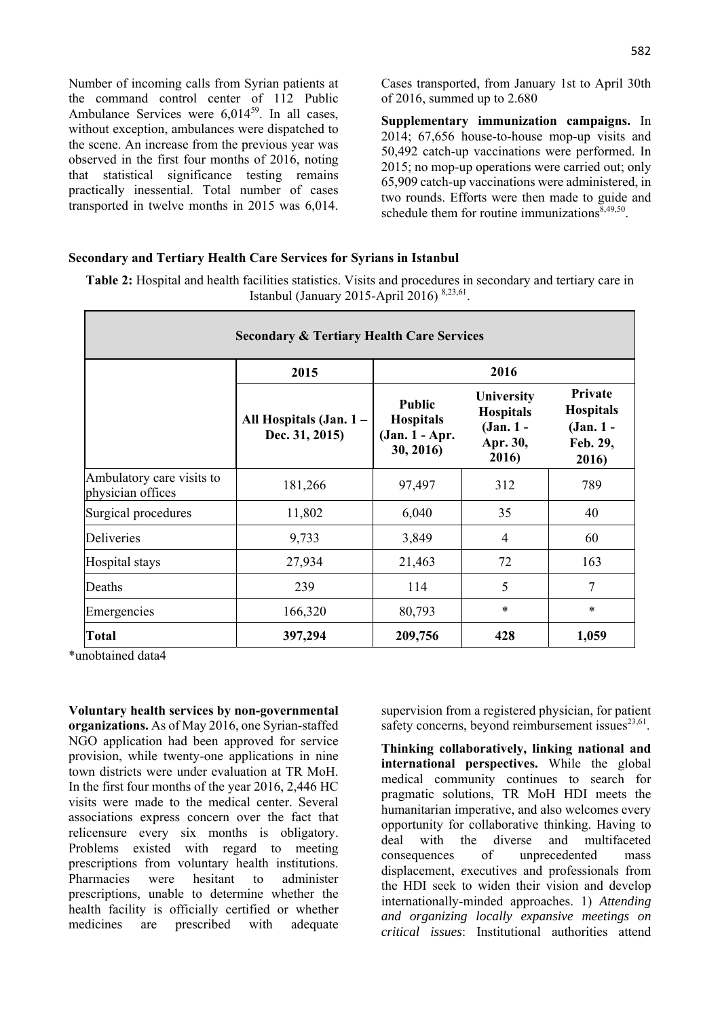Number of incoming calls from Syrian patients at the command control center of 112 Public Ambulance Services were  $6.014^{59}$ . In all cases, without exception, ambulances were dispatched to the scene. An increase from the previous year was observed in the first four months of 2016, noting that statistical significance testing remains practically inessential. Total number of cases transported in twelve months in 2015 was 6,014. Cases transported, from January 1st to April 30th of 2016, summed up to 2.680

**Supplementary immunization campaigns.** In 2014; 67,656 house-to-house mop-up visits and 50,492 catch-up vaccinations were performed. In 2015; no mop-up operations were carried out; only 65,909 catch-up vaccinations were administered, in two rounds. Efforts were then made to guide and schedule them for routine immunizations  $\bar{8}$ , 49,50.

#### **Secondary and Tertiary Health Care Services for Syrians in Istanbul**

**Table 2:** Hospital and health facilities statistics. Visits and procedures in secondary and tertiary care in Istanbul (January 2015-April 2016) 8,23,61.

| <b>Secondary &amp; Tertiary Health Care Services</b> |                                          |                                                                  |                                                                    |                                                               |  |  |
|------------------------------------------------------|------------------------------------------|------------------------------------------------------------------|--------------------------------------------------------------------|---------------------------------------------------------------|--|--|
|                                                      | 2015                                     | 2016                                                             |                                                                    |                                                               |  |  |
|                                                      | All Hospitals (Jan. 1-<br>Dec. 31, 2015) | <b>Public</b><br><b>Hospitals</b><br>(Jan. 1 - Apr.<br>30, 2016) | University<br><b>Hospitals</b><br>$(Jan. 1 -$<br>Apr. 30,<br>2016) | Private<br><b>Hospitals</b><br>(Jan. 1 -<br>Feb. 29,<br>2016) |  |  |
| Ambulatory care visits to<br>physician offices       | 181,266                                  | 97,497                                                           | 312                                                                | 789                                                           |  |  |
| Surgical procedures                                  | 11,802                                   | 6,040                                                            | 35                                                                 | 40                                                            |  |  |
| <b>Deliveries</b>                                    | 9,733                                    | 3,849                                                            | $\overline{4}$                                                     | 60                                                            |  |  |
| Hospital stays                                       | 27,934                                   | 21,463                                                           | 72                                                                 | 163                                                           |  |  |
| Deaths                                               | 239                                      | 114                                                              | 5                                                                  | 7                                                             |  |  |
| Emergencies                                          | 166,320                                  | 80,793                                                           | $\ast$                                                             | $\ast$                                                        |  |  |
| <b>Total</b>                                         | 397,294                                  | 209,756                                                          | 428                                                                | 1,059                                                         |  |  |

\*unobtained data4

**Voluntary health services by non-governmental organizations.** As of May 2016, one Syrian-staffed NGO application had been approved for service provision, while twenty-one applications in nine town districts were under evaluation at TR MoH. In the first four months of the year 2016, 2,446 HC visits were made to the medical center. Several associations express concern over the fact that relicensure every six months is obligatory. Problems existed with regard to meeting prescriptions from voluntary health institutions. Pharmacies were hesitant to administer prescriptions, unable to determine whether the health facility is officially certified or whether medicines are prescribed with adequate

supervision from a registered physician, for patient safety concerns, beyond reimbursement issues $^{23,61}$ .

**Thinking collaboratively, linking national and international perspectives.** While the global medical community continues to search for pragmatic solutions, TR MoH HDI meets the humanitarian imperative, and also welcomes every opportunity for collaborative thinking. Having to deal with the diverse and multifaceted consequences of unprecedented mass displacement, *e*xecutives and professionals from the HDI seek to widen their vision and develop internationally-minded approaches. 1) *Attending and organizing locally expansive meetings on critical issues*: Institutional authorities attend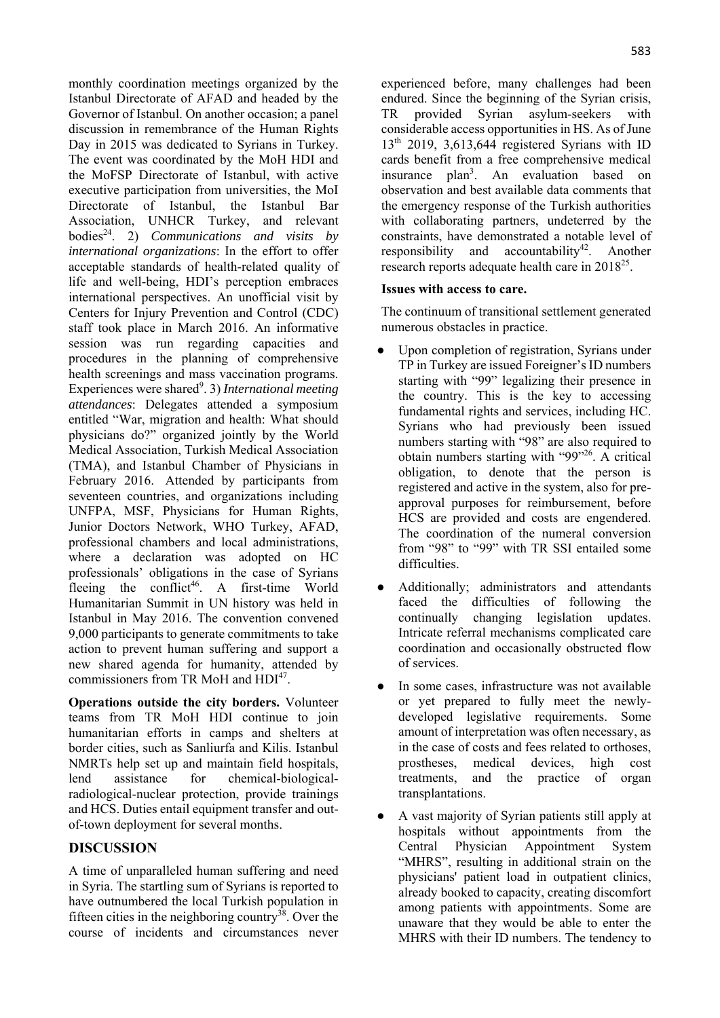monthly coordination meetings organized by the Istanbul Directorate of AFAD and headed by the Governor of Istanbul. On another occasion; a panel discussion in remembrance of the Human Rights Day in 2015 was dedicated to Syrians in Turkey. The event was coordinated by the MoH HDI and the MoFSP Directorate of Istanbul, with active executive participation from universities, the MoI Directorate of Istanbul, the Istanbul Bar Association, UNHCR Turkey, and relevant bodies24. 2) *Communications and visits by international organizations*: In the effort to offer acceptable standards of health-related quality of life and well-being, HDI's perception embraces international perspectives. An unofficial visit by Centers for Injury Prevention and Control (CDC) staff took place in March 2016. An informative session was run regarding capacities and procedures in the planning of comprehensive health screenings and mass vaccination programs. Experiences were shared<sup>9</sup>. 3) *International meeting attendances*: Delegates attended a symposium entitled "War, migration and health: What should physicians do?" organized jointly by the World Medical Association, Turkish Medical Association (TMA), and Istanbul Chamber of Physicians in February 2016. Attended by participants from seventeen countries, and organizations including UNFPA, MSF, Physicians for Human Rights, Junior Doctors Network, WHO Turkey, AFAD, professional chambers and local administrations, where a declaration was adopted on HC professionals' obligations in the case of Syrians fleeing the conflict<sup>46</sup>. A first-time World Humanitarian Summit in UN history was held in Istanbul in May 2016. The convention convened 9,000 participants to generate commitments to take action to prevent human suffering and support a new shared agenda for humanity, attended by commissioners from TR MoH and HDI<sup>47</sup>.

**Operations outside the city borders.** Volunteer teams from TR MoH HDI continue to join humanitarian efforts in camps and shelters at border cities, such as Sanliurfa and Kilis. Istanbul NMRTs help set up and maintain field hospitals, lend assistance for chemical-biologicalradiological-nuclear protection, provide trainings and HCS. Duties entail equipment transfer and outof-town deployment for several months.

## **DISCUSSION**

A time of unparalleled human suffering and need in Syria. The startling sum of Syrians is reported to have outnumbered the local Turkish population in fifteen cities in the neighboring country<sup>38</sup>. Over the course of incidents and circumstances never

experienced before, many challenges had been endured. Since the beginning of the Syrian crisis, TR provided Syrian asylum-seekers with considerable access opportunities in HS. As of June  $13<sup>th</sup>$  2019, 3,613,644 registered Syrians with ID cards benefit from a free comprehensive medical insurance plan<sup>3</sup>. An evaluation based on observation and best available data comments that the emergency response of the Turkish authorities with collaborating partners, undeterred by the constraints, have demonstrated a notable level of responsibility and accountability<sup>42</sup>. Another research reports adequate health care in  $2018^{25}$ .

## **Issues with access to care.**

The continuum of transitional settlement generated numerous obstacles in practice.

- Upon completion of registration, Syrians under TP in Turkey are issued Foreigner's ID numbers starting with "99" legalizing their presence in the country. This is the key to accessing fundamental rights and services, including HC. Syrians who had previously been issued numbers starting with "98" are also required to obtain numbers starting with "99"26. A critical obligation, to denote that the person is registered and active in the system, also for preapproval purposes for reimbursement, before HCS are provided and costs are engendered. The coordination of the numeral conversion from "98" to "99" with TR SSI entailed some difficulties.
- Additionally; administrators and attendants faced the difficulties of following the continually changing legislation updates. Intricate referral mechanisms complicated care coordination and occasionally obstructed flow of services.
- In some cases, infrastructure was not available or yet prepared to fully meet the newlydeveloped legislative requirements. Some amount of interpretation was often necessary, as in the case of costs and fees related to orthoses, prostheses, medical devices, high cost treatments, and the practice of organ transplantations.
- A vast majority of Syrian patients still apply at hospitals without appointments from the Central Physician Appointment System "MHRS", resulting in additional strain on the physicians' patient load in outpatient clinics, already booked to capacity, creating discomfort among patients with appointments. Some are unaware that they would be able to enter the MHRS with their ID numbers. The tendency to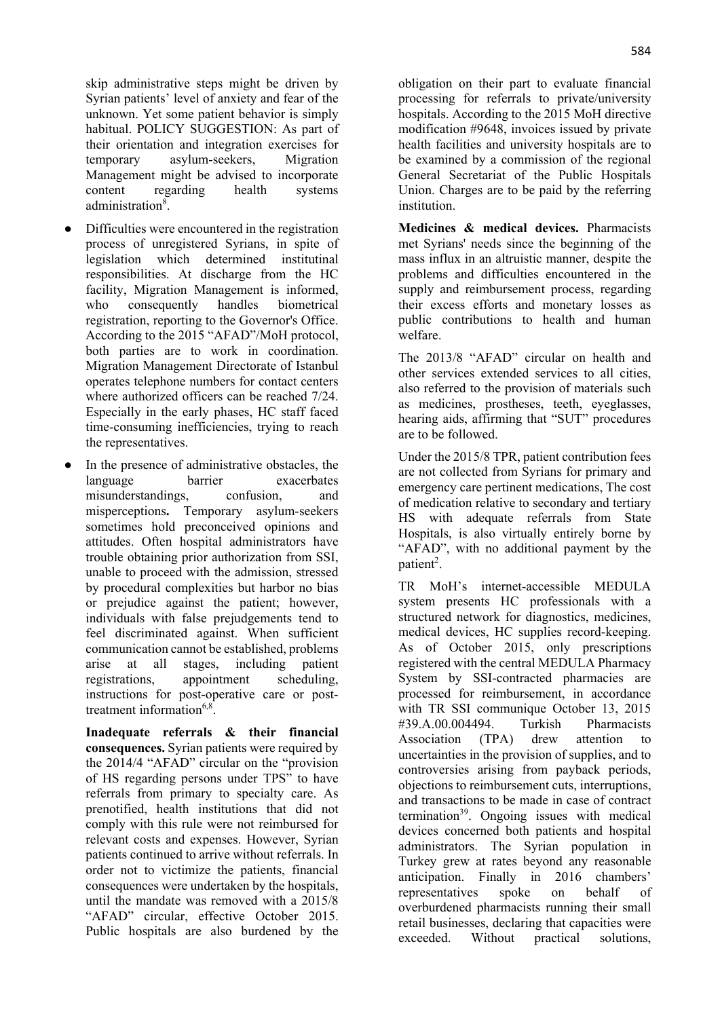skip administrative steps might be driven by Syrian patients' level of anxiety and fear of the unknown. Yet some patient behavior is simply habitual. POLICY SUGGESTION: As part of their orientation and integration exercises for temporary asylum-seekers, Migration Management might be advised to incorporate content regarding health systems administration<sup>8</sup>.

- Difficulties were encountered in the registration process of unregistered Syrians, in spite of legislation which determined institutinal responsibilities. At discharge from the HC facility, Migration Management is informed, who consequently handles biometrical registration, reporting to the Governor's Office. According to the 2015 "AFAD"/MoH protocol, both parties are to work in coordination. Migration Management Directorate of Istanbul operates telephone numbers for contact centers where authorized officers can be reached 7/24. Especially in the early phases, HC staff faced time-consuming inefficiencies, trying to reach the representatives.
- In the presence of administrative obstacles, the language barrier exacerbates misunderstandings, confusion, and misperceptions**.** Temporary asylum-seekers sometimes hold preconceived opinions and attitudes. Often hospital administrators have trouble obtaining prior authorization from SSI, unable to proceed with the admission, stressed by procedural complexities but harbor no bias or prejudice against the patient; however, individuals with false prejudgements tend to feel discriminated against. When sufficient communication cannot be established, problems arise at all stages, including patient registrations, appointment scheduling, instructions for post-operative care or posttreatment information $6,8$ .

**Inadequate referrals & their financial consequences.** Syrian patients were required by the 2014/4 "AFAD" circular on the "provision of HS regarding persons under TPS" to have referrals from primary to specialty care. As prenotified, health institutions that did not comply with this rule were not reimbursed for relevant costs and expenses. However, Syrian patients continued to arrive without referrals. In order not to victimize the patients, financial consequences were undertaken by the hospitals, until the mandate was removed with a 2015/8 "AFAD" circular, effective October 2015. Public hospitals are also burdened by the obligation on their part to evaluate financial processing for referrals to private/university hospitals. According to the 2015 MoH directive modification #9648, invoices issued by private health facilities and university hospitals are to be examined by a commission of the regional General Secretariat of the Public Hospitals Union. Charges are to be paid by the referring institution.

**Medicines & medical devices.** Pharmacists met Syrians' needs since the beginning of the mass influx in an altruistic manner, despite the problems and difficulties encountered in the supply and reimbursement process, regarding their excess efforts and monetary losses as public contributions to health and human welfare.

The 2013/8 "AFAD" circular on health and other services extended services to all cities, also referred to the provision of materials such as medicines, prostheses, teeth, eyeglasses, hearing aids, affirming that "SUT" procedures are to be followed.

Under the 2015/8 TPR, patient contribution fees are not collected from Syrians for primary and emergency care pertinent medications, The cost of medication relative to secondary and tertiary HS with adequate referrals from State Hospitals, is also virtually entirely borne by "AFAD", with no additional payment by the patient<sup>2</sup>.

TR MoH's internet-accessible MEDULA system presents HC professionals with a structured network for diagnostics, medicines, medical devices, HC supplies record-keeping. As of October 2015, only prescriptions registered with the central MEDULA Pharmacy System by SSI-contracted pharmacies are processed for reimbursement, in accordance with TR SSI communique October 13, 2015 #39.A.00.004494. Turkish Pharmacists Association (TPA) drew attention to uncertainties in the provision of supplies, and to controversies arising from payback periods, objections to reimbursement cuts, interruptions, and transactions to be made in case of contract termination<sup>39</sup>. Ongoing issues with medical devices concerned both patients and hospital administrators. The Syrian population in Turkey grew at rates beyond any reasonable anticipation. Finally in 2016 chambers' representatives spoke on behalf of overburdened pharmacists running their small retail businesses, declaring that capacities were exceeded. Without practical solutions,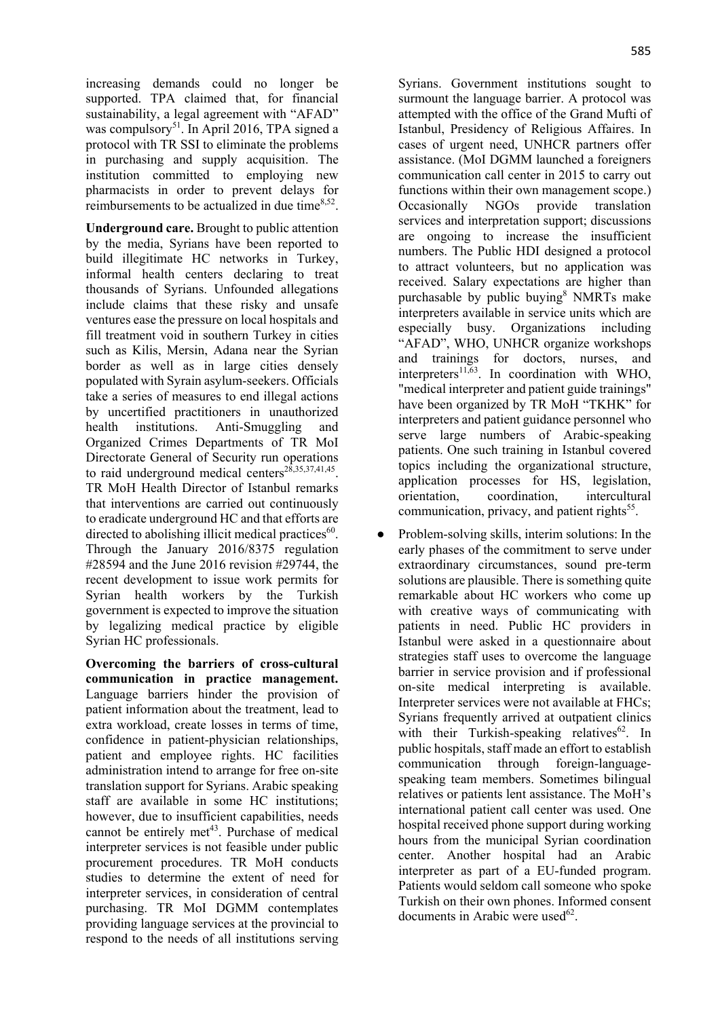increasing demands could no longer be supported. TPA claimed that, for financial sustainability, a legal agreement with "AFAD" was compulsory<sup>51</sup>. In April 2016, TPA signed a protocol with TR SSI to eliminate the problems in purchasing and supply acquisition. The institution committed to employing new pharmacists in order to prevent delays for reimbursements to be actualized in due time<sup>8,52</sup>.

**Underground care.** Brought to public attention by the media, Syrians have been reported to build illegitimate HC networks in Turkey, informal health centers declaring to treat thousands of Syrians. Unfounded allegations include claims that these risky and unsafe ventures ease the pressure on local hospitals and fill treatment void in southern Turkey in cities such as Kilis, Mersin, Adana near the Syrian border as well as in large cities densely populated with Syrain asylum-seekers. Officials take a series of measures to end illegal actions by uncertified practitioners in unauthorized health institutions. Anti-Smuggling and Organized Crimes Departments of TR MoI Directorate General of Security run operations to raid underground medical centers<sup>28,35,37,41,45</sup>. TR MoH Health Director of Istanbul remarks that interventions are carried out continuously to eradicate underground HC and that efforts are directed to abolishing illicit medical practices $60$ . Through the January 2016/8375 regulation #28594 and the June 2016 revision #29744, the recent development to issue work permits for Syrian health workers by the Turkish government is expected to improve the situation by legalizing medical practice by eligible Syrian HC professionals.

**Overcoming the barriers of cross-cultural communication in practice management.**  Language barriers hinder the provision of patient information about the treatment, lead to extra workload, create losses in terms of time, confidence in patient-physician relationships, patient and employee rights. HC facilities administration intend to arrange for free on-site translation support for Syrians. Arabic speaking staff are available in some HC institutions; however, due to insufficient capabilities, needs cannot be entirely met<sup>43</sup>. Purchase of medical interpreter services is not feasible under public procurement procedures. TR MoH conducts studies to determine the extent of need for interpreter services, in consideration of central purchasing. TR MoI DGMM contemplates providing language services at the provincial to respond to the needs of all institutions serving Syrians. Government institutions sought to surmount the language barrier. A protocol was attempted with the office of the Grand Mufti of Istanbul, Presidency of Religious Affaires. In cases of urgent need, UNHCR partners offer assistance. (MoI DGMM launched a foreigners communication call center in 2015 to carry out functions within their own management scope.) Occasionally NGOs provide translation services and interpretation support; discussions are ongoing to increase the insufficient numbers. The Public HDI designed a protocol to attract volunteers, but no application was received. Salary expectations are higher than purchasable by public buying<sup>8</sup> NMRTs make interpreters available in service units which are especially busy. Organizations including "AFAD", WHO, UNHCR organize workshops and trainings for doctors, nurses, and interpreters<sup>11,63</sup>. In coordination with WHO, "medical interpreter and patient guide trainings" have been organized by TR MoH "TKHK" for interpreters and patient guidance personnel who serve large numbers of Arabic-speaking patients. One such training in Istanbul covered topics including the organizational structure, application processes for HS, legislation, orientation, coordination, intercultural communication, privacy, and patient rights<sup>55</sup>.

• Problem-solving skills, interim solutions: In the early phases of the commitment to serve under extraordinary circumstances, sound pre-term solutions are plausible. There is something quite remarkable about HC workers who come up with creative ways of communicating with patients in need. Public HC providers in Istanbul were asked in a questionnaire about strategies staff uses to overcome the language barrier in service provision and if professional on-site medical interpreting is available. Interpreter services were not available at FHCs; Syrians frequently arrived at outpatient clinics with their Turkish-speaking relatives<sup>62</sup>. In public hospitals, staff made an effort to establish communication through foreign-languagespeaking team members. Sometimes bilingual relatives or patients lent assistance. The MoH's international patient call center was used. One hospital received phone support during working hours from the municipal Syrian coordination center. Another hospital had an Arabic interpreter as part of a EU-funded program. Patients would seldom call someone who spoke Turkish on their own phones. Informed consent documents in Arabic were used $^{62}$ .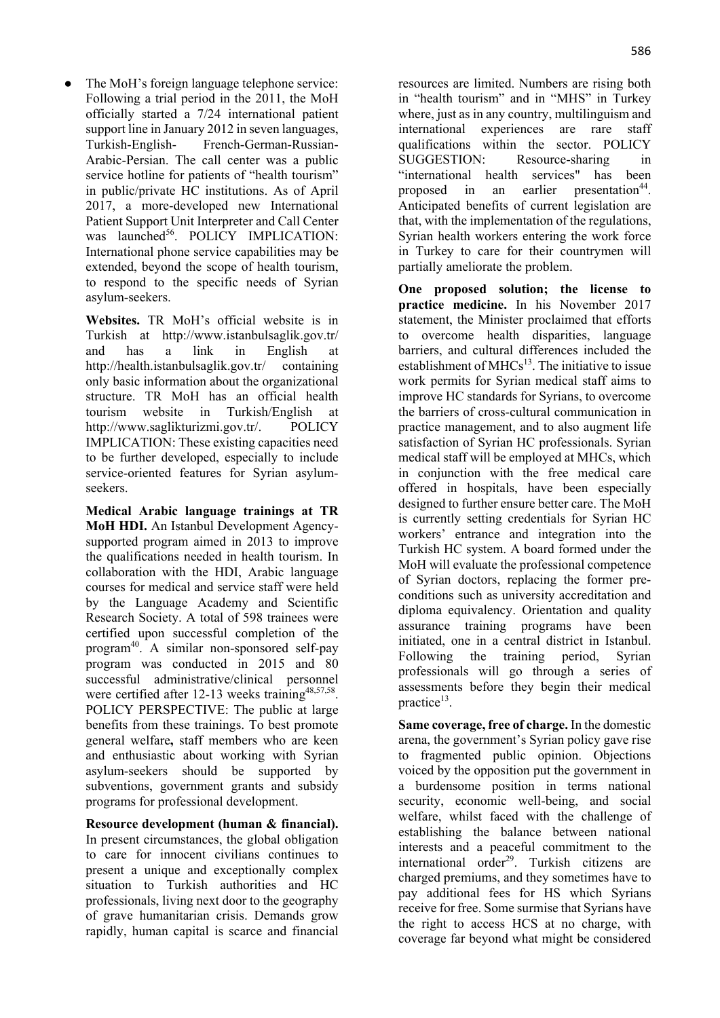The MoH's foreign language telephone service: Following a trial period in the 2011, the MoH officially started a 7/24 international patient support line in January 2012 in seven languages, Turkish-English- French-German-Russian-Arabic-Persian. The call center was a public service hotline for patients of "health tourism" in public/private HC institutions. As of April 2017, a more-developed new International Patient Support Unit Interpreter and Call Center was launched<sup>56</sup>. POLICY IMPLICATION: International phone service capabilities may be extended, beyond the scope of health tourism, to respond to the specific needs of Syrian asylum-seekers.

**Websites.** TR MoH's official website is in Turkish at http://www.istanbulsaglik.gov.tr/ and has a link in English at http://health.istanbulsaglik.gov.tr/ containing only basic information about the organizational structure. TR MoH has an official health tourism website in Turkish/English at http://www.saglikturizmi.gov.tr/. POLICY IMPLICATION: These existing capacities need to be further developed, especially to include service-oriented features for Syrian asylumseekers.

**Medical Arabic language trainings at TR MoH HDI.** An Istanbul Development Agencysupported program aimed in 2013 to improve the qualifications needed in health tourism. In collaboration with the HDI, Arabic language courses for medical and service staff were held by the Language Academy and Scientific Research Society. A total of 598 trainees were certified upon successful completion of the program40. A similar non-sponsored self-pay program was conducted in 2015 and 80 successful administrative/clinical personnel were certified after 12-13 weeks training<sup>48,57,58</sup>. POLICY PERSPECTIVE: The public at large benefits from these trainings. To best promote general welfare**,** staff members who are keen and enthusiastic about working with Syrian asylum-seekers should be supported by subventions, government grants and subsidy programs for professional development.

**Resource development (human & financial).** In present circumstances, the global obligation to care for innocent civilians continues to present a unique and exceptionally complex situation to Turkish authorities and HC professionals, living next door to the geography of grave humanitarian crisis. Demands grow rapidly, human capital is scarce and financial

resources are limited. Numbers are rising both in "health tourism" and in "MHS" in Turkey where, just as in any country, multilinguism and international experiences are rare staff qualifications within the sector. POLICY SUGGESTION: Resource-sharing in "international health services" has been proposed in an earlier presentation<sup>44</sup>. Anticipated benefits of current legislation are that, with the implementation of the regulations, Syrian health workers entering the work force in Turkey to care for their countrymen will partially ameliorate the problem.

**One proposed solution; the license to practice medicine.** In his November 2017 statement, the Minister proclaimed that efforts to overcome health disparities, language barriers, and cultural differences included the establishment of  $MHCs<sup>13</sup>$ . The initiative to issue work permits for Syrian medical staff aims to improve HC standards for Syrians, to overcome the barriers of cross-cultural communication in practice management, and to also augment life satisfaction of Syrian HC professionals. Syrian medical staff will be employed at MHCs, which in conjunction with the free medical care offered in hospitals, have been especially designed to further ensure better care. The MoH is currently setting credentials for Syrian HC workers' entrance and integration into the Turkish HC system. A board formed under the MoH will evaluate the professional competence of Syrian doctors, replacing the former preconditions such as university accreditation and diploma equivalency. Orientation and quality assurance training programs have been initiated, one in a central district in Istanbul. Following the training period, Syrian professionals will go through a series of assessments before they begin their medical practice<sup>13</sup>.

**Same coverage, free of charge.** In the domestic arena, the government's Syrian policy gave rise to fragmented public opinion. Objections voiced by the opposition put the government in a burdensome position in terms national security, economic well-being, and social welfare, whilst faced with the challenge of establishing the balance between national interests and a peaceful commitment to the international order<sup>29</sup>. Turkish citizens are charged premiums, and they sometimes have to pay additional fees for HS which Syrians receive for free. Some surmise that Syrians have the right to access HCS at no charge, with coverage far beyond what might be considered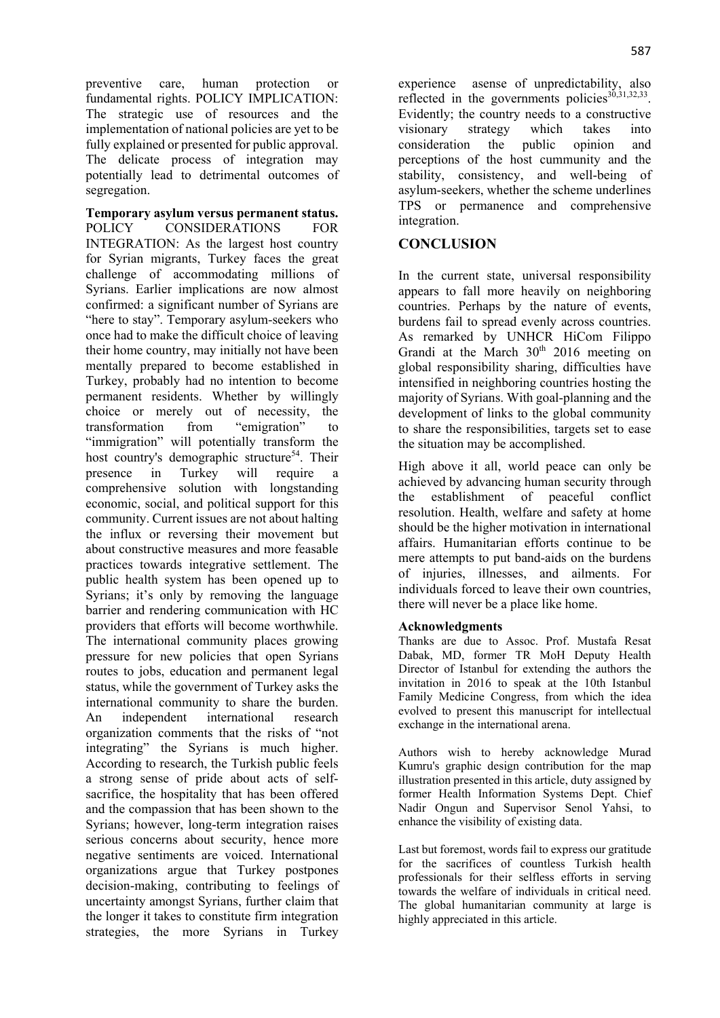preventive care, human protection or fundamental rights. POLICY IMPLICATION: The strategic use of resources and the implementation of national policies are yet to be fully explained or presented for public approval. The delicate process of integration may potentially lead to detrimental outcomes of segregation.

**Temporary asylum versus permanent status.** POLICY CONSIDERATIONS FOR INTEGRATION: As the largest host country for Syrian migrants, Turkey faces the great challenge of accommodating millions of Syrians. Earlier implications are now almost confirmed: a significant number of Syrians are "here to stay". Temporary asylum-seekers who once had to make the difficult choice of leaving their home country, may initially not have been mentally prepared to become established in Turkey, probably had no intention to become permanent residents. Whether by willingly choice or merely out of necessity, the transformation from "emigration" to "immigration" will potentially transform the host country's demographic structure<sup>54</sup>. Their presence in Turkey will require a comprehensive solution with longstanding economic, social, and political support for this community. Current issues are not about halting the influx or reversing their movement but about constructive measures and more feasable practices towards integrative settlement. The public health system has been opened up to Syrians; it's only by removing the language barrier and rendering communication with HC providers that efforts will become worthwhile. The international community places growing pressure for new policies that open Syrians routes to jobs, education and permanent legal status, while the government of Turkey asks the international community to share the burden. An independent international research organization comments that the risks of "not integrating" the Syrians is much higher. According to research, the Turkish public feels a strong sense of pride about acts of selfsacrifice, the hospitality that has been offered and the compassion that has been shown to the Syrians; however, long-term integration raises serious concerns about security, hence more negative sentiments are voiced. International organizations argue that Turkey postpones decision-making, contributing to feelings of uncertainty amongst Syrians, further claim that the longer it takes to constitute firm integration strategies, the more Syrians in Turkey experience asense of unpredictability, also reflected in the governments policies $30,31,32,33$ . Evidently; the country needs to a constructive visionary strategy which takes into consideration the public opinion and perceptions of the host cummunity and the stability, consistency, and well-being of asylum-seekers, whether the scheme underlines TPS or permanence and comprehensive integration.

# **CONCLUSION**

In the current state, universal responsibility appears to fall more heavily on neighboring countries. Perhaps by the nature of events, burdens fail to spread evenly across countries. As remarked by UNHCR HiCom Filippo Grandi at the March  $30<sup>th</sup>$  2016 meeting on global responsibility sharing, difficulties have intensified in neighboring countries hosting the majority of Syrians. With goal-planning and the development of links to the global community to share the responsibilities, targets set to ease the situation may be accomplished.

High above it all, world peace can only be achieved by advancing human security through the establishment of peaceful conflict resolution. Health, welfare and safety at home should be the higher motivation in international affairs. Humanitarian efforts continue to be mere attempts to put band-aids on the burdens of injuries, illnesses, and ailments. For individuals forced to leave their own countries, there will never be a place like home.

## **Acknowledgments**

Thanks are due to Assoc. Prof. Mustafa Resat Dabak, MD, former TR MoH Deputy Health Director of Istanbul for extending the authors the invitation in 2016 to speak at the 10th Istanbul Family Medicine Congress, from which the idea evolved to present this manuscript for intellectual exchange in the international arena.

Authors wish to hereby acknowledge Murad Kumru's graphic design contribution for the map illustration presented in this article, duty assigned by former Health Information Systems Dept. Chief Nadir Ongun and Supervisor Senol Yahsi, to enhance the visibility of existing data.

Last but foremost, words fail to express our gratitude for the sacrifices of countless Turkish health professionals for their selfless efforts in serving towards the welfare of individuals in critical need. The global humanitarian community at large is highly appreciated in this article.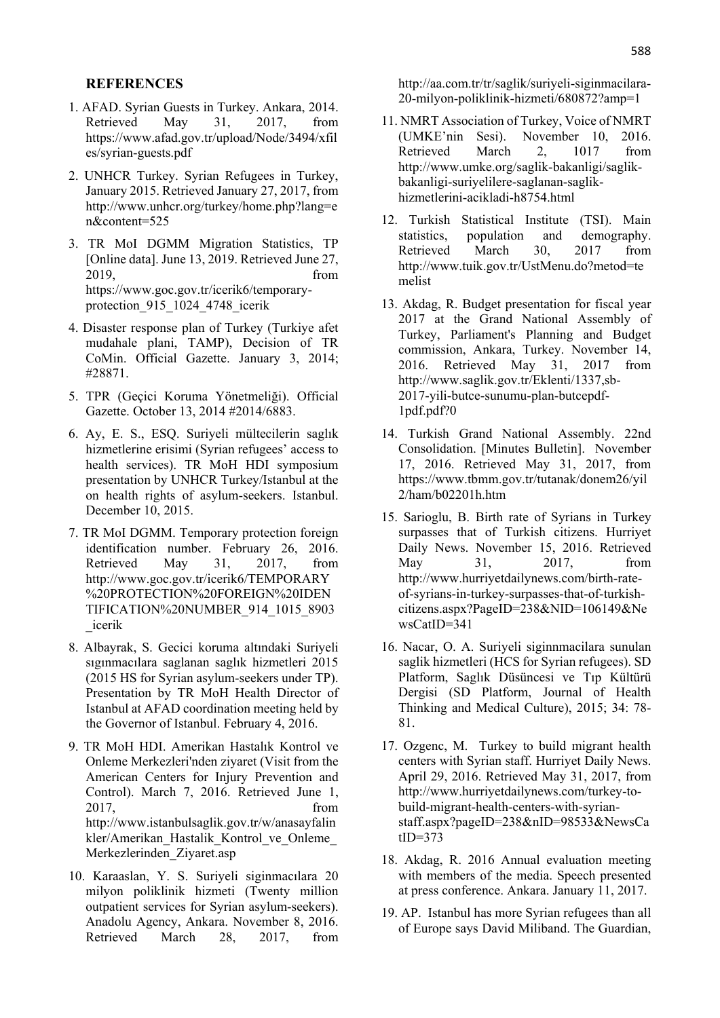#### **REFERENCES**

- 1. AFAD. Syrian Guests in Turkey. Ankara, 2014. Retrieved May 31, 2017, from https://www.afad.gov.tr/upload/Node/3494/xfil es/syrian-guests.pdf
- 2. UNHCR Turkey. Syrian Refugees in Turkey, January 2015. Retrieved January 27, 2017, from http://www.unhcr.org/turkey/home.php?lang=e n&content=525
- 3. TR MoI DGMM Migration Statistics, TP [Online data]. June 13, 2019. Retrieved June 27, 2019, from https://www.goc.gov.tr/icerik6/temporaryprotection\_915\_1024\_4748\_icerik
- 4. Disaster response plan of Turkey (Turkiye afet mudahale plani, TAMP), Decision of TR CoMin. Official Gazette. January 3, 2014; #28871.
- 5. TPR (Geçici Koruma Yönetmeliği). Official Gazette. October 13, 2014 #2014/6883.
- 6. Ay, E. S., ESQ. Suriyeli mültecilerin saglık hizmetlerine erisimi (Syrian refugees' access to health services). TR MoH HDI symposium presentation by UNHCR Turkey/Istanbul at the on health rights of asylum-seekers. Istanbul. December 10, 2015.
- 7. TR MoI DGMM. Temporary protection foreign identification number. February 26, 2016. Retrieved May 31, 2017, from http://www.goc.gov.tr/icerik6/TEMPORARY %20PROTECTION%20FOREIGN%20IDEN TIFICATION%20NUMBER\_914\_1015\_8903 \_icerik
- 8. Albayrak, S. Gecici koruma altındaki Suriyeli sıgınmacılara saglanan saglık hizmetleri 2015 (2015 HS for Syrian asylum-seekers under TP). Presentation by TR MoH Health Director of Istanbul at AFAD coordination meeting held by the Governor of Istanbul. February 4, 2016.
- 9. TR MoH HDI. Amerikan Hastalık Kontrol ve Onleme Merkezleri'nden ziyaret (Visit from the American Centers for Injury Prevention and Control). March 7, 2016. Retrieved June 1, 2017, from http://www.istanbulsaglik.gov.tr/w/anasayfalin kler/Amerikan\_Hastalik\_Kontrol\_ve\_Onleme\_ Merkezlerinden\_Ziyaret.asp
- 10. Karaaslan, Y. S. Suriyeli siginmacılara 20 milyon poliklinik hizmeti (Twenty million outpatient services for Syrian asylum-seekers). Anadolu Agency, Ankara. November 8, 2016. Retrieved March 28, 2017, from

http://aa.com.tr/tr/saglik/suriyeli-siginmacilara-20-milyon-poliklinik-hizmeti/680872?amp=1

- 11. NMRT Association of Turkey, Voice of NMRT (UMKE'nin Sesi). November 10, 2016. Retrieved March 2, 1017 from http://www.umke.org/saglik-bakanligi/saglikbakanligi-suriyelilere-saglanan-saglikhizmetlerini-acikladi-h8754.html
- 12. Turkish Statistical Institute (TSI). Main statistics, population and demography. Retrieved March 30, 2017 from http://www.tuik.gov.tr/UstMenu.do?metod=te melist
- 13. Akdag, R. Budget presentation for fiscal year 2017 at the Grand National Assembly of Turkey, Parliament's Planning and Budget commission, Ankara, Turkey. November 14, 2016. Retrieved May 31, 2017 from http://www.saglik.gov.tr/Eklenti/1337,sb-2017-yili-butce-sunumu-plan-butcepdf-1pdf.pdf?0
- 14. Turkish Grand National Assembly. 22nd Consolidation. [Minutes Bulletin]. November 17, 2016. Retrieved May 31, 2017, from https://www.tbmm.gov.tr/tutanak/donem26/yil 2/ham/b02201h.htm
- 15. Sarioglu, B. Birth rate of Syrians in Turkey surpasses that of Turkish citizens. Hurriyet Daily News. November 15, 2016. Retrieved May 31, 2017, from http://www.hurriyetdailynews.com/birth-rateof-syrians-in-turkey-surpasses-that-of-turkishcitizens.aspx?PageID=238&NID=106149&Ne wsCatID=341
- 16. Nacar, O. A. Suriyeli siginnmacilara sunulan saglik hizmetleri (HCS for Syrian refugees). SD Platform, Saglık Düsüncesi ve Tıp Kültürü Dergisi (SD Platform, Journal of Health Thinking and Medical Culture), 2015; 34: 78- 81.
- 17. Ozgenc, M. Turkey to build migrant health centers with Syrian staff. Hurriyet Daily News. April 29, 2016. Retrieved May 31, 2017, from http://www.hurriyetdailynews.com/turkey-tobuild-migrant-health-centers-with-syrianstaff.aspx?pageID=238&nID=98533&NewsCa tID=373
- 18. Akdag, R. 2016 Annual evaluation meeting with members of the media. Speech presented at press conference. Ankara. January 11, 2017.
- 19. AP. Istanbul has more Syrian refugees than all of Europe says David Miliband. The Guardian,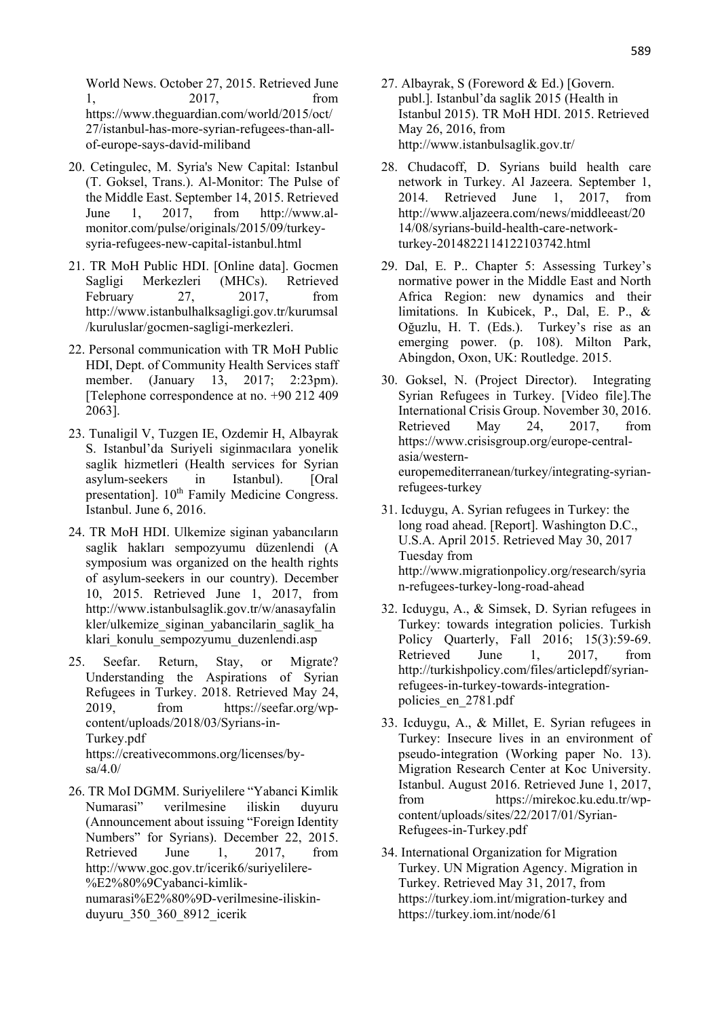World News. October 27, 2015. Retrieved June 1, 2017, from https://www.theguardian.com/world/2015/oct/ 27/istanbul-has-more-syrian-refugees-than-allof-europe-says-david-miliband

- 20. Cetingulec, M. Syria's New Capital: Istanbul (T. Goksel, Trans.). Al-Monitor: The Pulse of the Middle East. September 14, 2015. Retrieved June 1, 2017, from http://www.almonitor.com/pulse/originals/2015/09/turkeysyria-refugees-new-capital-istanbul.html
- 21. TR MoH Public HDI. [Online data]. Gocmen Sagligi Merkezleri (MHCs). Retrieved February 27, 2017, from http://www.istanbulhalksagligi.gov.tr/kurumsal /kuruluslar/gocmen-sagligi-merkezleri.
- 22. Personal communication with TR MoH Public HDI, Dept. of Community Health Services staff member. (January 13, 2017; 2:23pm). [Telephone correspondence at no. +90 212 409 2063].
- 23. Tunaligil V, Tuzgen IE, Ozdemir H, Albayrak S. Istanbul'da Suriyeli siginmacılara yonelik saglik hizmetleri (Health services for Syrian asylum-seekers in Istanbul). [Oral presentation]. 10<sup>th</sup> Family Medicine Congress. Istanbul. June 6, 2016.
- 24. TR MoH HDI. Ulkemize siginan yabancıların saglik hakları sempozyumu düzenlendi (A symposium was organized on the health rights of asylum-seekers in our country). December 10, 2015. Retrieved June 1, 2017, from http://www.istanbulsaglik.gov.tr/w/anasayfalin kler/ulkemize\_siginan\_yabancilarin\_saglik\_ha klari konulu sempozyumu duzenlendi.asp
- 25. Seefar. Return, Stay, or Migrate? Understanding the Aspirations of Syrian Refugees in Turkey. 2018. Retrieved May 24, 2019, from https://seefar.org/wpcontent/uploads/2018/03/Syrians-in-Turkey.pdf https://creativecommons.org/licenses/bysa/4.0/
- 26. TR MoI DGMM. Suriyelilere "Yabanci Kimlik Numarasi" verilmesine iliskin duyuru (Announcement about issuing "Foreign Identity Numbers" for Syrians). December 22, 2015. Retrieved June 1, 2017, from http://www.goc.gov.tr/icerik6/suriyelilere- %E2%80%9Cyabanci-kimliknumarasi%E2%80%9D-verilmesine-iliskinduyuru\_350\_360\_8912\_icerik
- 27. Albayrak, S (Foreword & Ed.) [Govern. publ.]. Istanbul'da saglik 2015 (Health in Istanbul 2015). TR MoH HDI. 2015. Retrieved May 26, 2016, from http://www.istanbulsaglik.gov.tr/
- 28. Chudacoff, D. Syrians build health care network in Turkey. Al Jazeera. September 1, 2014. Retrieved June 1, 2017, from http://www.aljazeera.com/news/middleeast/20 14/08/syrians-build-health-care-networkturkey-2014822114122103742.html
- 29. Dal, E. P.. Chapter 5: Assessing Turkey's normative power in the Middle East and North Africa Region: new dynamics and their limitations. In Kubicek, P., Dal, E. P., & Oğuzlu, H. T. (Eds.). Turkey's rise as an emerging power. (p. 108). Milton Park, Abingdon, Oxon, UK: Routledge. 2015.
- 30. Goksel, N. (Project Director). Integrating Syrian Refugees in Turkey. [Video file].The International Crisis Group. November 30, 2016. Retrieved May 24, 2017, from https://www.crisisgroup.org/europe-centralasia/westerneuropemediterranean/turkey/integrating-syrianrefugees-turkey
- 31. Icduygu, A. Syrian refugees in Turkey: the long road ahead. [Report]. Washington D.C., U.S.A. April 2015. Retrieved May 30, 2017 Tuesday from http://www.migrationpolicy.org/research/syria n-refugees-turkey-long-road-ahead
- 32. Icduygu, A., & Simsek, D. Syrian refugees in Turkey: towards integration policies. Turkish Policy Quarterly, Fall 2016; 15(3):59-69. Retrieved June 1, 2017, from http://turkishpolicy.com/files/articlepdf/syrianrefugees-in-turkey-towards-integrationpolicies\_en\_2781.pdf
- 33. Icduygu, A., & Millet, E. Syrian refugees in Turkey: Insecure lives in an environment of pseudo-integration (Working paper No. 13). Migration Research Center at Koc University. Istanbul. August 2016. Retrieved June 1, 2017, from https://mirekoc.ku.edu.tr/wpcontent/uploads/sites/22/2017/01/Syrian-Refugees-in-Turkey.pdf
- 34. International Organization for Migration Turkey. UN Migration Agency. Migration in Turkey. Retrieved May 31, 2017, from https://turkey.iom.int/migration-turkey and https://turkey.iom.int/node/61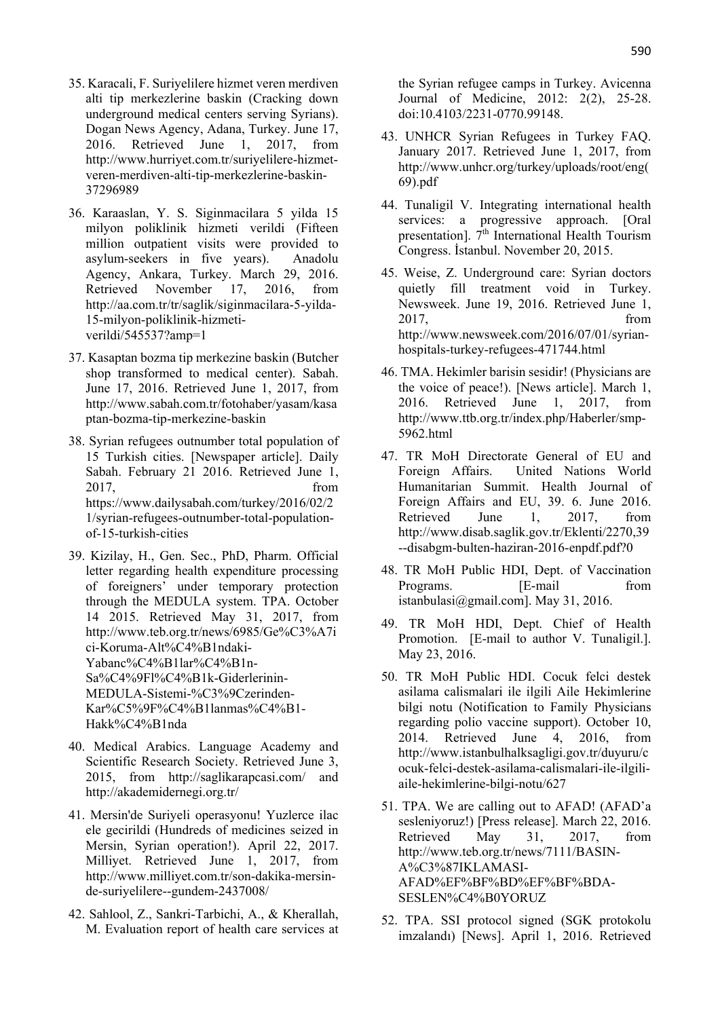- 35. Karacali, F. Suriyelilere hizmet veren merdiven alti tip merkezlerine baskin (Cracking down underground medical centers serving Syrians). Dogan News Agency, Adana, Turkey. June 17, 2016. Retrieved June 1, 2017, from http://www.hurriyet.com.tr/suriyelilere-hizmetveren-merdiven-alti-tip-merkezlerine-baskin-37296989
- 36. Karaaslan, Y. S. Siginmacilara 5 yilda 15 milyon poliklinik hizmeti verildi (Fifteen million outpatient visits were provided to asylum-seekers in five years). Anadolu Agency, Ankara, Turkey. March 29, 2016. Retrieved November 17, 2016, from http://aa.com.tr/tr/saglik/siginmacilara-5-yilda-15-milyon-poliklinik-hizmetiverildi/545537?amp=1
- 37. Kasaptan bozma tip merkezine baskin (Butcher shop transformed to medical center). Sabah. June 17, 2016. Retrieved June 1, 2017, from http://www.sabah.com.tr/fotohaber/yasam/kasa ptan-bozma-tip-merkezine-baskin
- 38. Syrian refugees outnumber total population of 15 Turkish cities. [Newspaper article]. Daily Sabah. February 21 2016. Retrieved June 1, 2017, from https://www.dailysabah.com/turkey/2016/02/2 1/syrian-refugees-outnumber-total-populationof-15-turkish-cities
- 39. Kizilay, H., Gen. Sec., PhD, Pharm. Official letter regarding health expenditure processing of foreigners' under temporary protection through the MEDULA system. TPA. October 14 2015. Retrieved May 31, 2017, from http://www.teb.org.tr/news/6985/Ge%C3%A7i ci-Koruma-Alt%C4%B1ndaki-Yabanc%C4%B1lar%C4%B1n-Sa%C4%9Fl%C4%B1k-Giderlerinin-MEDULA-Sistemi-%C3%9Czerinden-Kar%C5%9F%C4%B1lanmas%C4%B1- Hakk%C4%B1nda
- 40. Medical Arabics. Language Academy and Scientific Research Society. Retrieved June 3, 2015, from http://saglikarapcasi.com/ and http://akademidernegi.org.tr/
- 41. Mersin'de Suriyeli operasyonu! Yuzlerce ilac ele gecirildi (Hundreds of medicines seized in Mersin, Syrian operation!). April 22, 2017. Milliyet. Retrieved June 1, 2017, from http://www.milliyet.com.tr/son-dakika-mersinde-suriyelilere--gundem-2437008/
- 42. Sahlool, Z., Sankri-Tarbichi, A., & Kherallah, M. Evaluation report of health care services at

the Syrian refugee camps in Turkey. Avicenna Journal of Medicine, 2012: 2(2), 25-28. doi:10.4103/2231-0770.99148.

- 43. UNHCR Syrian Refugees in Turkey FAQ. January 2017. Retrieved June 1, 2017, from http://www.unhcr.org/turkey/uploads/root/eng( 69).pdf
- 44. Tunaligil V. Integrating international health services: a progressive approach. [Oral presentation].  $7<sup>th</sup>$  International Health Tourism Congress. İstanbul. November 20, 2015.
- 45. Weise, Z. Underground care: Syrian doctors quietly fill treatment void in Turkey. Newsweek. June 19, 2016. Retrieved June 1, 2017, from http://www.newsweek.com/2016/07/01/syrianhospitals-turkey-refugees-471744.html
- 46. TMA. Hekimler barisin sesidir! (Physicians are the voice of peace!). [News article]. March 1, 2016. Retrieved June 1, 2017, from http://www.ttb.org.tr/index.php/Haberler/smp-5962.html
- 47. TR MoH Directorate General of EU and Foreign Affairs. United Nations World Humanitarian Summit. Health Journal of Foreign Affairs and EU, 39. 6. June 2016. Retrieved June 1, 2017, from http://www.disab.saglik.gov.tr/Eklenti/2270,39 --disabgm-bulten-haziran-2016-enpdf.pdf?0
- 48. TR MoH Public HDI, Dept. of Vaccination Programs. **I.e. I.e. F I.e. I.e. I.e. I.e. I.e. I.e. I.e. I.e. I.e. I.e. I.e. I.e. I.e. I.e. I.e. I.e. I.e. I.e. I.e. I.e. I.e. I.e. I.e. I.e. I.e. I.e. I.e. I.e.** istanbulasi@gmail.com]. May 31, 2016.
- 49. TR MoH HDI, Dept. Chief of Health Promotion. [E-mail to author V. Tunaligil.]. May 23, 2016.
- 50. TR MoH Public HDI. Cocuk felci destek asilama calismalari ile ilgili Aile Hekimlerine bilgi notu (Notification to Family Physicians regarding polio vaccine support). October 10, 2014. Retrieved June 4, 2016, from http://www.istanbulhalksagligi.gov.tr/duyuru/c ocuk-felci-destek-asilama-calismalari-ile-ilgiliaile-hekimlerine-bilgi-notu/627
- 51. TPA. We are calling out to AFAD! (AFAD'a sesleniyoruz!) [Press release]. March 22, 2016. Retrieved May 31, 2017, from http://www.teb.org.tr/news/7111/BASIN-A%C3%87IKLAMASI-AFAD%EF%BF%BD%EF%BF%BDA-SESLEN%C4%B0YORUZ
- 52. TPA. SSI protocol signed (SGK protokolu imzalandı) [News]. April 1, 2016. Retrieved